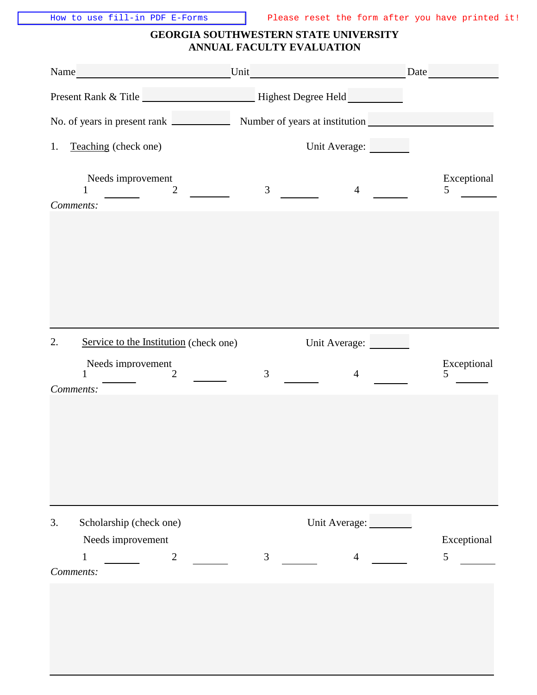## **GEORGIA SOUTHWESTERN STATE UNIVERSITY ANNUAL FACULTY EVALUATION**

| Name_<br><u> 1990 - Jan Barbara Barat, prima politik (</u>   | Unit                             | Date                          |
|--------------------------------------------------------------|----------------------------------|-------------------------------|
|                                                              |                                  |                               |
| No. of years in present rank                                 |                                  |                               |
| Teaching (check one)<br>1.                                   | Unit Average:                    |                               |
| Needs improvement<br>$\overline{2}$<br>Comments:             | $\mathfrak{Z}$<br>$\overline{4}$ | Exceptional<br>5              |
|                                                              |                                  |                               |
|                                                              |                                  |                               |
| 2.<br>Service to the Institution (check one)                 | Unit Average:                    |                               |
| Needs improvement<br>$\overline{2}$                          | 3<br>$\overline{4}$              | Exceptional<br>5              |
| Comments:                                                    |                                  |                               |
| Scholarship (check one)<br>3.                                | Unit Average:                    |                               |
| Needs improvement<br>$\sqrt{2}$<br>$\mathbf{1}$<br>Comments: | $\mathfrak{Z}$<br>$\overline{4}$ | Exceptional<br>$\mathfrak{S}$ |
|                                                              |                                  |                               |